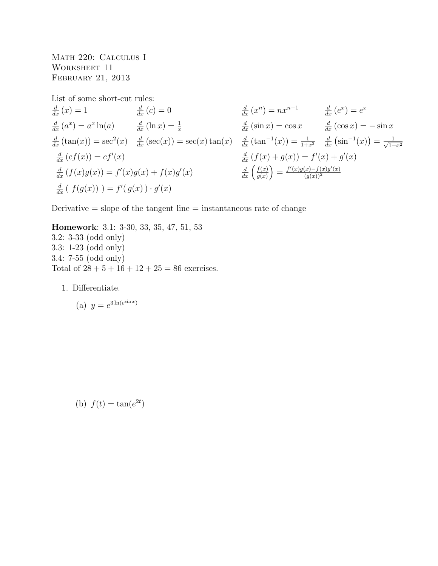Math 220: Calculus I WORKSHEET 11 February 21, 2013

List of some short-cut rules:

$$
\frac{d}{dx}(x) = 1
$$
\n
$$
\frac{d}{dx}(a^x) = a^x \ln(a)
$$
\n
$$
\frac{d}{dx}(\tan(x)) = \sec^2(x)
$$
\n
$$
\frac{d}{dx}(\sec(x)) = \sec(x) \tan(x)
$$
\n
$$
\frac{d}{dx}(\tan^{-1}(x)) = \frac{1}{1+x^2}
$$
\n
$$
\frac{d}{dx}(\sin^{-1}(x)) = \frac{1}{\frac{d}{dx}(\cos x)} = -\sin x
$$
\n
$$
\frac{d}{dx}(c f(x)) = c f'(x)
$$
\n
$$
\frac{d}{dx} (f(x)g(x)) = f'(x)g(x) + f(x)g'(x)
$$
\n
$$
\frac{d}{dx} \left(\frac{f(x)}{g(x)}\right) = \frac{f'(x)g(x) - f(x)g'(x)}{g'(x)}
$$
\n
$$
\frac{d}{dx} \left(\frac{f(x)}{g(x)}\right) = \frac{f'(x)g(x) - f(x)g'(x)}{g(x)^2}
$$

Derivative  $=$  slope of the tangent line  $=$  instantaneous rate of change

Homework: 3.1: 3-30, 33, 35, 47, 51, 53 3.2: 3-33 (odd only) 3.3: 1-23 (odd only) 3.4: 7-55 (odd only) Total of  $28 + 5 + 16 + 12 + 25 = 86$  exercises.

1. Differentiate.

(a) 
$$
y = e^{3\ln(e^{\sin x})}
$$

(b)  $f(t) = \tan(e^{2t})$